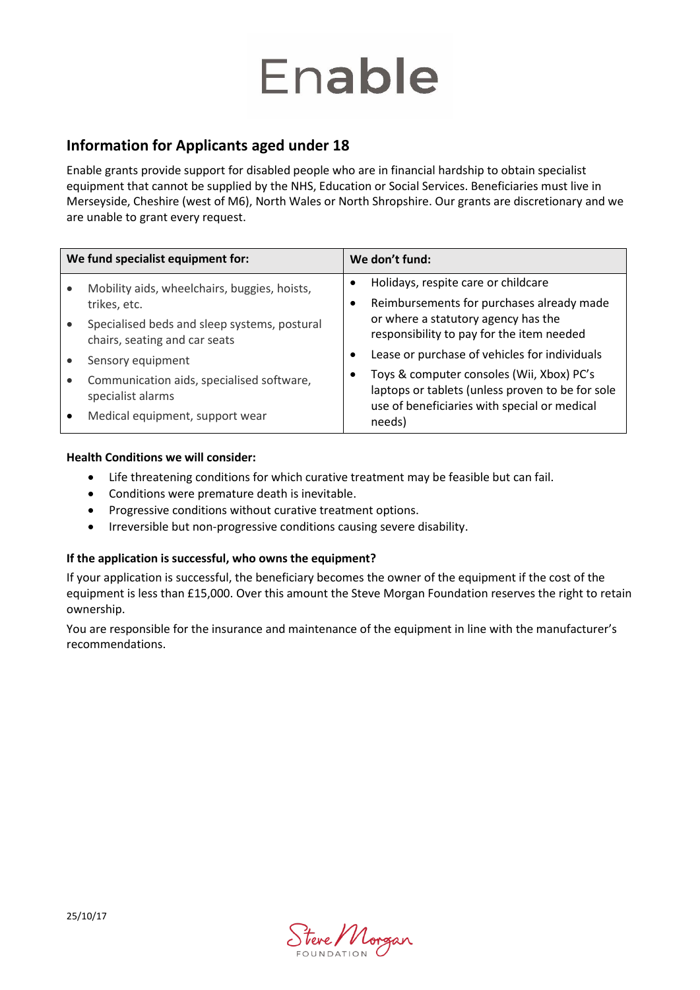# Enable

### **Information for Applicants aged under 18**

Enable grants provide support for disabled people who are in financial hardship to obtain specialist equipment that cannot be supplied by the NHS, Education or Social Services. Beneficiaries must live in Merseyside, Cheshire (west of M6), North Wales or North Shropshire. Our grants are discretionary and we are unable to grant every request.

| We fund specialist equipment for: |                                                                               | We don't fund: |                                                                                                                                               |
|-----------------------------------|-------------------------------------------------------------------------------|----------------|-----------------------------------------------------------------------------------------------------------------------------------------------|
|                                   | Mobility aids, wheelchairs, buggies, hoists,                                  |                | Holidays, respite care or childcare                                                                                                           |
|                                   | trikes, etc.                                                                  |                | Reimbursements for purchases already made                                                                                                     |
|                                   | Specialised beds and sleep systems, postural<br>chairs, seating and car seats |                | or where a statutory agency has the<br>responsibility to pay for the item needed                                                              |
|                                   | Sensory equipment                                                             | $\bullet$      | Lease or purchase of vehicles for individuals                                                                                                 |
|                                   | Communication aids, specialised software,<br>specialist alarms                |                | Toys & computer consoles (Wii, Xbox) PC's<br>laptops or tablets (unless proven to be for sole<br>use of beneficiaries with special or medical |
|                                   | Medical equipment, support wear                                               |                | needs)                                                                                                                                        |

#### **Health Conditions we will consider:**

- Life threatening conditions for which curative treatment may be feasible but can fail.
- Conditions were premature death is inevitable.
- Progressive conditions without curative treatment options.
- Irreversible but non-progressive conditions causing severe disability.

#### **If the application is successful, who owns the equipment?**

If your application is successful, the beneficiary becomes the owner of the equipment if the cost of the equipment is less than £15,000. Over this amount the Steve Morgan Foundation reserves the right to retain ownership.

You are responsible for the insurance and maintenance of the equipment in line with the manufacturer's recommendations.

Stere Morgan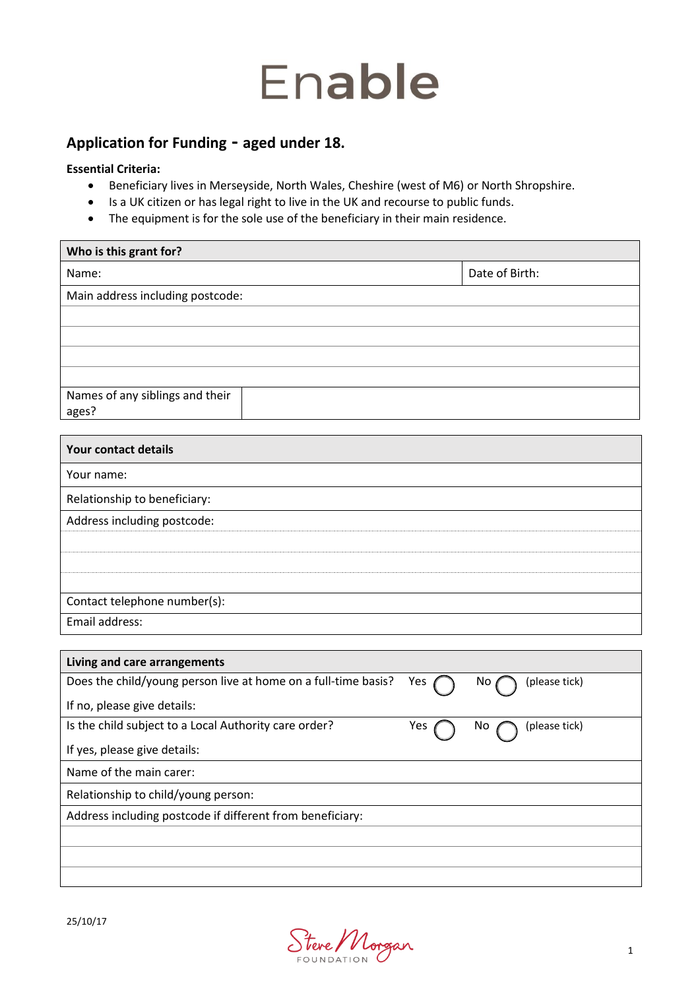## Enable

## **Application for Funding - aged under 18.**

#### **Essential Criteria:**

- Beneficiary lives in Merseyside, North Wales, Cheshire (west of M6) or North Shropshire.
- Is a UK citizen or has legal right to live in the UK and recourse to public funds.
- The equipment is for the sole use of the beneficiary in their main residence.

| Who is this grant for?           |                |  |  |  |
|----------------------------------|----------------|--|--|--|
| Name:                            | Date of Birth: |  |  |  |
| Main address including postcode: |                |  |  |  |
|                                  |                |  |  |  |
|                                  |                |  |  |  |
|                                  |                |  |  |  |
|                                  |                |  |  |  |
| Names of any siblings and their  |                |  |  |  |
| agesi                            |                |  |  |  |

| Your contact details         |
|------------------------------|
| Your name:                   |
| Relationship to beneficiary: |
| Address including postcode:  |
|                              |
|                              |
|                              |
| Contact telephone number(s): |
| Email address:               |

| Living and care arrangements                                   |     |                      |  |
|----------------------------------------------------------------|-----|----------------------|--|
| Does the child/young person live at home on a full-time basis? | Yes | (please tick)<br>No. |  |
| If no, please give details:                                    |     |                      |  |
| Is the child subject to a Local Authority care order?          | Yes | (please tick)<br>Νo  |  |
| If yes, please give details:                                   |     |                      |  |
| Name of the main carer:                                        |     |                      |  |
| Relationship to child/young person:                            |     |                      |  |
| Address including postcode if different from beneficiary:      |     |                      |  |
|                                                                |     |                      |  |
|                                                                |     |                      |  |
|                                                                |     |                      |  |

Stere Morgan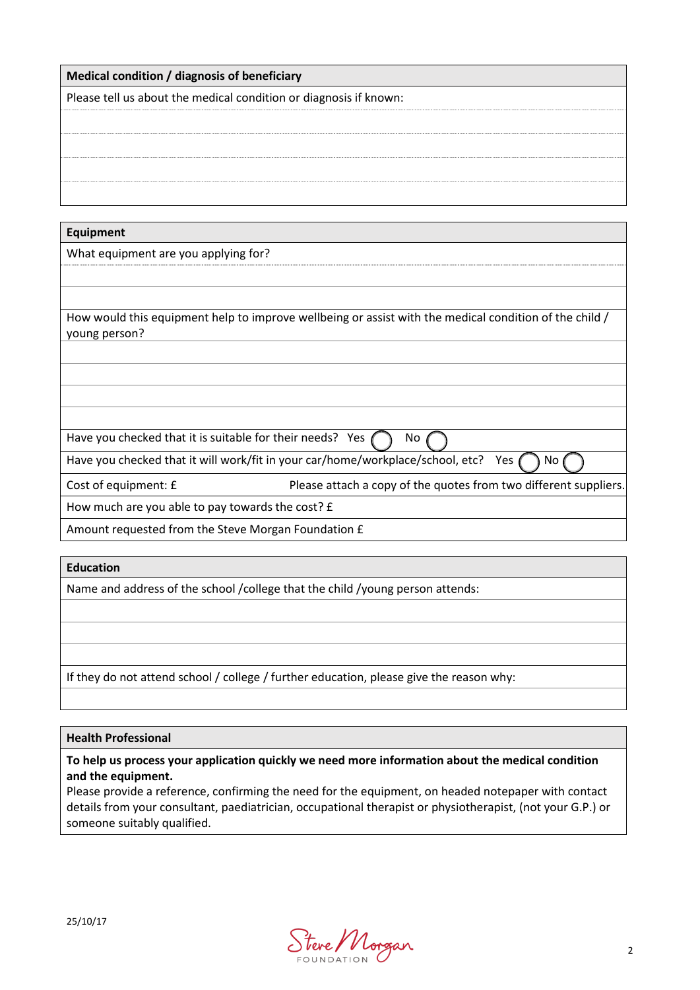#### **Medical condition / diagnosis of beneficiary**

Please tell us about the medical condition or diagnosis if known:

**Equipment** 

What equipment are you applying for?

How would this equipment help to improve wellbeing or assist with the medical condition of the child / young person?

Have you checked that it is suitable for their needs? Yes  $\bigcap$  No

Have you checked that it will work/fit in your car/home/workplace/school, etc? Yes  $\bigcap$  No

Cost of equipment: £ Please attach a copy of the quotes from two different suppliers

How much are you able to pay towards the cost? £

Amount requested from the Steve Morgan Foundation £

#### **Education**

Name and address of the school /college that the child /young person attends:

If they do not attend school / college / further education, please give the reason why:

#### **Health Professional**

#### **To help us process your application quickly we need more information about the medical condition and the equipment.**

Please provide a reference, confirming the need for the equipment, on headed notepaper with contact details from your consultant, paediatrician, occupational therapist or physiotherapist, (not your G.P.) or someone suitably qualified.

Steve Morgan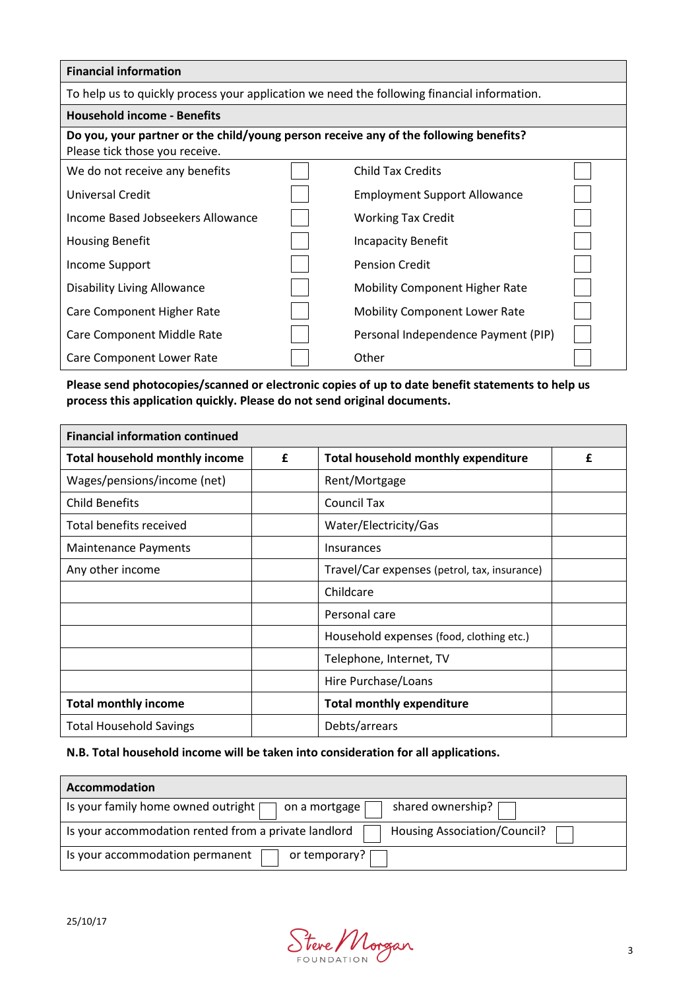| <b>Financial information</b>                                                                                            |  |                                       |  |
|-------------------------------------------------------------------------------------------------------------------------|--|---------------------------------------|--|
| To help us to quickly process your application we need the following financial information.                             |  |                                       |  |
| <b>Household income - Benefits</b>                                                                                      |  |                                       |  |
| Do you, your partner or the child/young person receive any of the following benefits?<br>Please tick those you receive. |  |                                       |  |
| We do not receive any benefits                                                                                          |  | <b>Child Tax Credits</b>              |  |
| Universal Credit                                                                                                        |  | <b>Employment Support Allowance</b>   |  |
| Income Based Jobseekers Allowance                                                                                       |  | <b>Working Tax Credit</b>             |  |
| <b>Housing Benefit</b>                                                                                                  |  | Incapacity Benefit                    |  |
| Income Support                                                                                                          |  | <b>Pension Credit</b>                 |  |
| Disability Living Allowance                                                                                             |  | <b>Mobility Component Higher Rate</b> |  |
| Care Component Higher Rate                                                                                              |  | <b>Mobility Component Lower Rate</b>  |  |
| Care Component Middle Rate                                                                                              |  | Personal Independence Payment (PIP)   |  |
| Care Component Lower Rate                                                                                               |  | Other                                 |  |

#### **Please send photocopies/scanned or electronic copies of up to date benefit statements to help us process this application quickly. Please do not send original documents.**

| <b>Financial information continued</b>     |  |                                              |   |
|--------------------------------------------|--|----------------------------------------------|---|
| <b>Total household monthly income</b><br>£ |  | Total household monthly expenditure          | £ |
| Wages/pensions/income (net)                |  | Rent/Mortgage                                |   |
| <b>Child Benefits</b>                      |  | <b>Council Tax</b>                           |   |
| Total benefits received                    |  | Water/Electricity/Gas                        |   |
| <b>Maintenance Payments</b>                |  | Insurances                                   |   |
| Any other income                           |  | Travel/Car expenses (petrol, tax, insurance) |   |
|                                            |  | Childcare                                    |   |
|                                            |  | Personal care                                |   |
|                                            |  | Household expenses (food, clothing etc.)     |   |
|                                            |  | Telephone, Internet, TV                      |   |
|                                            |  | Hire Purchase/Loans                          |   |
| <b>Total monthly income</b>                |  | <b>Total monthly expenditure</b>             |   |
| <b>Total Household Savings</b>             |  | Debts/arrears                                |   |

#### **N.B. Total household income will be taken into consideration for all applications.**

| Accommodation                                                                        |
|--------------------------------------------------------------------------------------|
| Is your family home owned outright [<br>shared ownership?<br>on a mortgage           |
| Is your accommodation rented from a private landlord<br>Housing Association/Council? |
| Is your accommodation permanent<br>or temporary? [                                   |

Stere Morgan